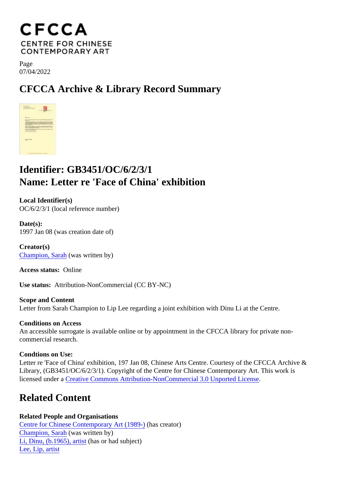Page 07/04/2022

CFCCA Archive & Library Record Summary

## Identifier: GB3451/OC/6/2/3/1 Name: Letter re 'Face of China' exhibition

Local Identifier(s) OC/6/2/3/1 (local reference number)

Date(s): 1997 Jan 08 (was creation date of)

Creator(s) [Champion, Sara](/index.php/Detail/entities/61)h was written by)

Access status: Online

Use status: Attribution-NonCommercial (CC BY-NC)

Scope and Content Letter from Sarah Champion to Lip Lee regarding a joint exhibition with Dinu Li at the Centre.

Conditions on Access An accessible surrogate is available online or by appointment in the CFCCA library for private noncommercial research.

Condtions on Use: Letter re 'Face of China' exhibition, 197 Jan 08, Chinese Arts Centre. Courtesy of the CFCCA Archive & Library, (GB3451/OC/6/2/3/1). Copyright of the Centre for Chinese Contemporary Art. This work is licensed under Greative Commons Attribution-NonCommercial 3.0 Unported License

## Related Content

Related People and Organisations [Centre for Chinese Contemporary Art \(198](/index.php/Detail/entities/2)<sup>0</sup>)as creator) [Champion, Sara](/index.php/Detail/entities/61)h was written by) [Li, Dinu, \(b.1965\), artis](/index.php/Detail/entities/53)thasor had subiect) [Lee, Lip, artis](/index.php/Detail/entities/54)t